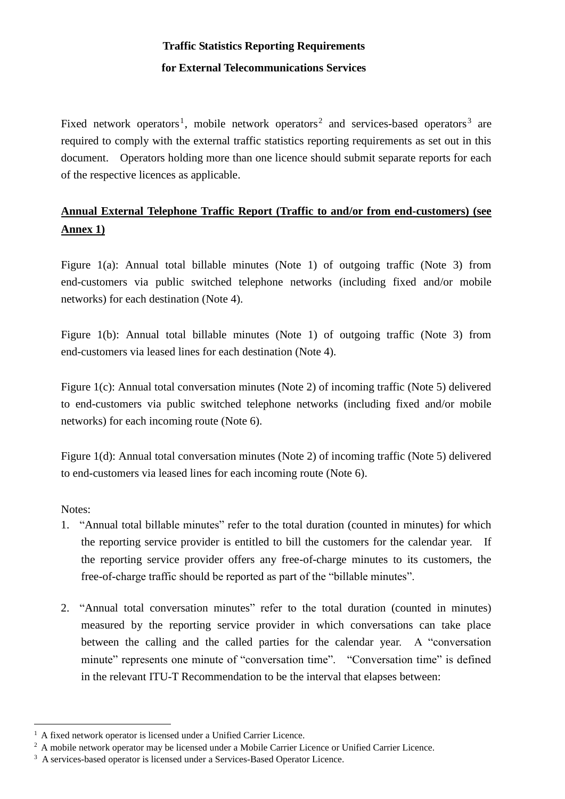# **Traffic Statistics Reporting Requirements for External Telecommunications Services**

Fixed network operators<sup>1</sup>, mobile network operators<sup>2</sup> and services-based operators<sup>3</sup> are required to comply with the external traffic statistics reporting requirements as set out in this document. Operators holding more than one licence should submit separate reports for each of the respective licences as applicable.

## **Annual External Telephone Traffic Report (Traffic to and/or from end-customers) (see Annex 1)**

Figure 1(a): Annual total billable minutes (Note 1) of outgoing traffic (Note 3) from end-customers via public switched telephone networks (including fixed and/or mobile networks) for each destination (Note 4).

Figure 1(b): Annual total billable minutes (Note 1) of outgoing traffic (Note 3) from end-customers via leased lines for each destination (Note 4).

Figure 1(c): Annual total conversation minutes (Note 2) of incoming traffic (Note 5) delivered to end-customers via public switched telephone networks (including fixed and/or mobile networks) for each incoming route (Note 6).

Figure 1(d): Annual total conversation minutes (Note 2) of incoming traffic (Note 5) delivered to end-customers via leased lines for each incoming route (Note 6).

Notes:

<u>.</u>

- 1. "Annual total billable minutes" refer to the total duration (counted in minutes) for which the reporting service provider is entitled to bill the customers for the calendar year. If the reporting service provider offers any free-of-charge minutes to its customers, the free-of-charge traffic should be reported as part of the "billable minutes".
- 2. "Annual total conversation minutes" refer to the total duration (counted in minutes) measured by the reporting service provider in which conversations can take place between the calling and the called parties for the calendar year. A "conversation minute" represents one minute of "conversation time". "Conversation time" is defined in the relevant ITU-T Recommendation to be the interval that elapses between:

<sup>1</sup> A fixed network operator is licensed under a Unified Carrier Licence.

<sup>&</sup>lt;sup>2</sup> A mobile network operator may be licensed under a Mobile Carrier Licence or Unified Carrier Licence.

<sup>&</sup>lt;sup>3</sup> A services-based operator is licensed under a Services-Based Operator Licence.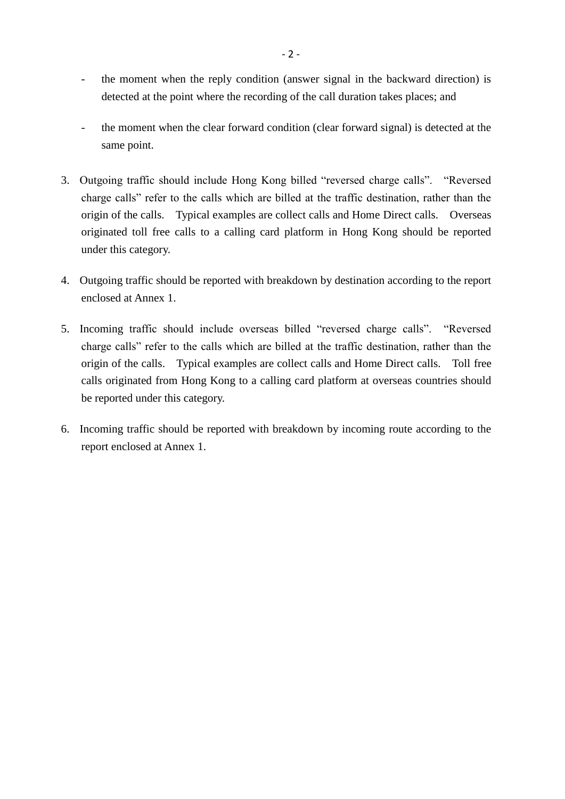- the moment when the reply condition (answer signal in the backward direction) is detected at the point where the recording of the call duration takes places; and
- the moment when the clear forward condition (clear forward signal) is detected at the same point.
- 3. Outgoing traffic should include Hong Kong billed "reversed charge calls". "Reversed charge calls" refer to the calls which are billed at the traffic destination, rather than the origin of the calls. Typical examples are collect calls and Home Direct calls. Overseas originated toll free calls to a calling card platform in Hong Kong should be reported under this category.
- 4. Outgoing traffic should be reported with breakdown by destination according to the report enclosed at Annex 1.
- 5. Incoming traffic should include overseas billed "reversed charge calls". "Reversed charge calls" refer to the calls which are billed at the traffic destination, rather than the origin of the calls. Typical examples are collect calls and Home Direct calls. Toll free calls originated from Hong Kong to a calling card platform at overseas countries should be reported under this category.
- 6. Incoming traffic should be reported with breakdown by incoming route according to the report enclosed at Annex 1.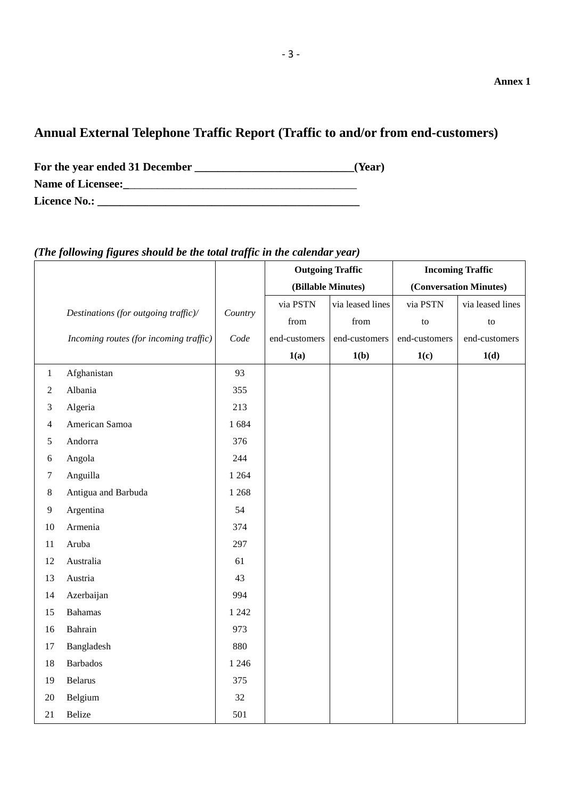### **Annual External Telephone Traffic Report (Traffic to and/or from end-customers)**

For the year ended 31 December *Learning Learning Learning* **<b>***Learning Learning Learning* **<b>***Learning Learning Learning* **<b>***Learning Learning Learning Learning* **<b>***Learning Learning* **Name of Licensee:\_**\_\_\_\_\_\_\_\_\_\_\_\_\_\_\_\_\_\_\_\_\_\_\_\_\_\_\_\_\_\_\_\_\_\_\_\_\_\_\_\_ **Licence No.: \_\_\_\_\_\_\_\_\_\_\_\_\_\_\_\_\_\_\_\_\_\_\_\_\_\_\_\_\_\_\_\_\_\_\_\_\_\_\_\_\_\_\_\_\_\_**

#### **Outgoing Traffic (Billable Minutes) Incoming Traffic (Conversation Minutes)** *Destinations (for outgoing traffic)/ Country* via PSTN from via leased lines from via PSTN to via leased lines to *Incoming routes (for incoming traffic) Code* end-customers end-customers end-customers end-customers **1(a) 1(b) 1(c) 1(d)** 1 Afghanistan 93 2 Albania 355 3 Algeria 213 4 American Samoa 1 684 5 Andorra 376 6 Angola 244 7 Anguilla 1 264 8 Antigua and Barbuda 1 268 9 Argentina 54 10 Armenia 374 11 Aruba 297 12 Australia 61 13 Austria 43 14 Azerbaijan 994 15 Bahamas 1 242 16 Bahrain 973 17 Bangladesh 880 18 Barbados 1246 19 Belarus 375 20 Belgium 32 21 Belize  $501$

#### *(The following figures should be the total traffic in the calendar year)*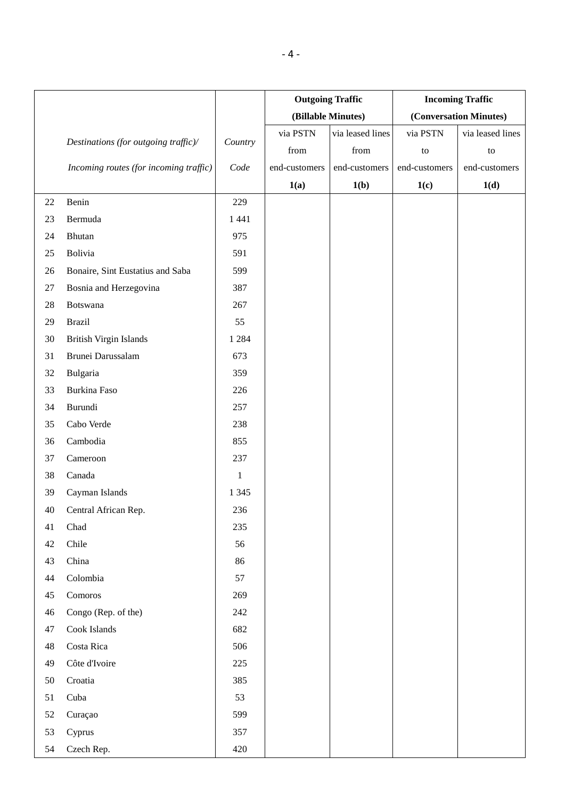|        |                                        |         | <b>Outgoing Traffic</b> |                  | <b>Incoming Traffic</b> |                        |
|--------|----------------------------------------|---------|-------------------------|------------------|-------------------------|------------------------|
|        |                                        |         | (Billable Minutes)      |                  |                         | (Conversation Minutes) |
|        |                                        |         | via PSTN                | via leased lines | via PSTN                | via leased lines       |
|        | Destinations (for outgoing traffic)/   | Country | from                    | from             | to                      | to                     |
|        | Incoming routes (for incoming traffic) | Code    | end-customers           | end-customers    | end-customers           | end-customers          |
|        |                                        |         | 1(a)                    | 1(b)             | 1(c)                    | 1(d)                   |
| 22     | Benin                                  | 229     |                         |                  |                         |                        |
| 23     | Bermuda                                | 1 4 4 1 |                         |                  |                         |                        |
| 24     | <b>Bhutan</b>                          | 975     |                         |                  |                         |                        |
| 25     | Bolivia                                | 591     |                         |                  |                         |                        |
| 26     | Bonaire, Sint Eustatius and Saba       | 599     |                         |                  |                         |                        |
| $27\,$ | Bosnia and Herzegovina                 | 387     |                         |                  |                         |                        |
| $28\,$ | Botswana                               | 267     |                         |                  |                         |                        |
| 29     | <b>Brazil</b>                          | 55      |                         |                  |                         |                        |
| 30     | <b>British Virgin Islands</b>          | 1 2 8 4 |                         |                  |                         |                        |
| 31     | Brunei Darussalam                      | 673     |                         |                  |                         |                        |
| 32     | Bulgaria                               | 359     |                         |                  |                         |                        |
| 33     | Burkina Faso                           | 226     |                         |                  |                         |                        |
| 34     | Burundi                                | 257     |                         |                  |                         |                        |
| 35     | Cabo Verde                             | 238     |                         |                  |                         |                        |
| 36     | Cambodia                               | 855     |                         |                  |                         |                        |
| 37     | Cameroon                               | 237     |                         |                  |                         |                        |
| 38     | Canada                                 | $\,1\,$ |                         |                  |                         |                        |
| 39     | Cayman Islands                         | 1 3 4 5 |                         |                  |                         |                        |
| 40     | Central African Rep.                   | 236     |                         |                  |                         |                        |
| 41     | Chad                                   | 235     |                         |                  |                         |                        |
| 42     | Chile                                  | 56      |                         |                  |                         |                        |
| 43     | China                                  | 86      |                         |                  |                         |                        |
| 44     | Colombia                               | 57      |                         |                  |                         |                        |
| 45     | Comoros                                | 269     |                         |                  |                         |                        |
| 46     | Congo (Rep. of the)                    | 242     |                         |                  |                         |                        |
| 47     | Cook Islands                           | 682     |                         |                  |                         |                        |
| 48     | Costa Rica                             | 506     |                         |                  |                         |                        |
| 49     | Côte d'Ivoire                          | 225     |                         |                  |                         |                        |
| 50     | Croatia                                | 385     |                         |                  |                         |                        |
| 51     | Cuba                                   | 53      |                         |                  |                         |                        |
| 52     | Curaçao                                | 599     |                         |                  |                         |                        |
| 53     | Cyprus                                 | 357     |                         |                  |                         |                        |
| 54     | Czech Rep.                             | 420     |                         |                  |                         |                        |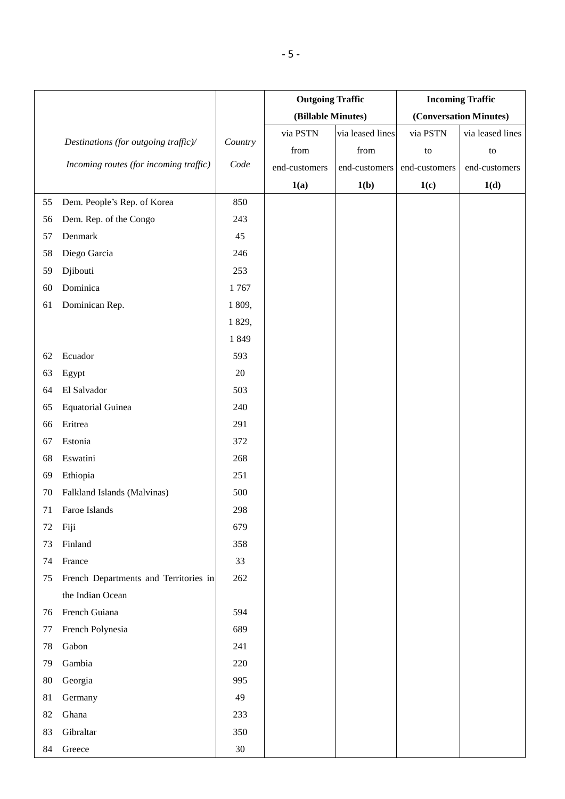|    |                                        |         | <b>Outgoing Traffic</b> |                  | <b>Incoming Traffic</b> |                        |
|----|----------------------------------------|---------|-------------------------|------------------|-------------------------|------------------------|
|    |                                        |         | (Billable Minutes)      |                  |                         | (Conversation Minutes) |
|    |                                        |         | via PSTN                | via leased lines | via PSTN                | via leased lines       |
|    | Destinations (for outgoing traffic)/   | Country | from                    | from             | to                      | to                     |
|    | Incoming routes (for incoming traffic) | Code    | end-customers           | end-customers    | end-customers           | end-customers          |
|    |                                        |         | 1(a)                    | 1(b)             | 1(c)                    | 1(d)                   |
| 55 | Dem. People's Rep. of Korea            | 850     |                         |                  |                         |                        |
| 56 | Dem. Rep. of the Congo                 | 243     |                         |                  |                         |                        |
| 57 | Denmark                                | 45      |                         |                  |                         |                        |
| 58 | Diego Garcia                           | 246     |                         |                  |                         |                        |
| 59 | Djibouti                               | 253     |                         |                  |                         |                        |
| 60 | Dominica                               | 1767    |                         |                  |                         |                        |
| 61 | Dominican Rep.                         | 1 809,  |                         |                  |                         |                        |
|    |                                        | 1 829,  |                         |                  |                         |                        |
|    |                                        | 1849    |                         |                  |                         |                        |
| 62 | Ecuador                                | 593     |                         |                  |                         |                        |
| 63 | Egypt                                  | 20      |                         |                  |                         |                        |
| 64 | El Salvador                            | 503     |                         |                  |                         |                        |
| 65 | <b>Equatorial Guinea</b>               | 240     |                         |                  |                         |                        |
| 66 | Eritrea                                | 291     |                         |                  |                         |                        |
| 67 | Estonia                                | 372     |                         |                  |                         |                        |
| 68 | Eswatini                               | 268     |                         |                  |                         |                        |
| 69 | Ethiopia                               | 251     |                         |                  |                         |                        |
| 70 | Falkland Islands (Malvinas)            | 500     |                         |                  |                         |                        |
| 71 | Faroe Islands                          | 298     |                         |                  |                         |                        |
| 72 | Fiji                                   | 679     |                         |                  |                         |                        |
| 73 | Finland                                | 358     |                         |                  |                         |                        |
| 74 | France                                 | 33      |                         |                  |                         |                        |
| 75 | French Departments and Territories in  | 262     |                         |                  |                         |                        |
|    | the Indian Ocean                       |         |                         |                  |                         |                        |
| 76 | French Guiana                          | 594     |                         |                  |                         |                        |
| 77 | French Polynesia                       | 689     |                         |                  |                         |                        |
| 78 | Gabon                                  | 241     |                         |                  |                         |                        |
| 79 | Gambia                                 | 220     |                         |                  |                         |                        |
| 80 | Georgia                                | 995     |                         |                  |                         |                        |
| 81 | Germany                                | 49      |                         |                  |                         |                        |
| 82 | Ghana                                  | 233     |                         |                  |                         |                        |
| 83 | Gibraltar                              | 350     |                         |                  |                         |                        |
| 84 | Greece                                 | $30\,$  |                         |                  |                         |                        |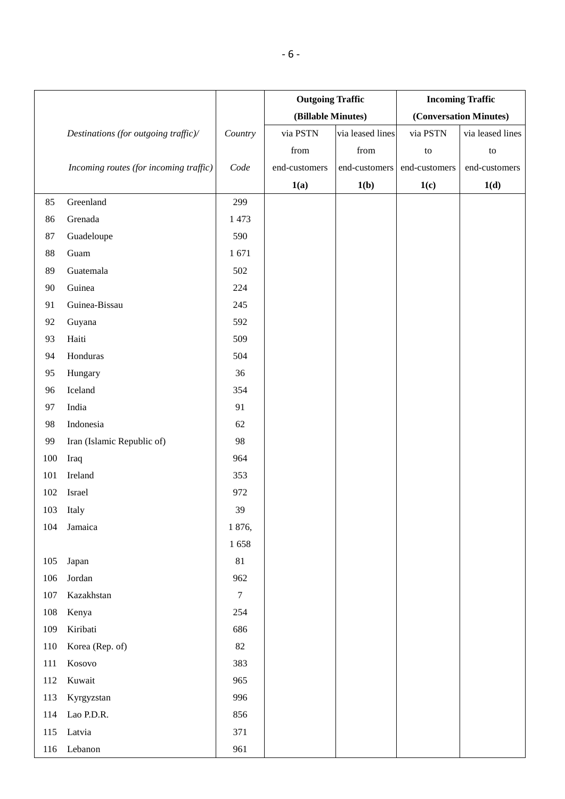|         |                                        |                  | <b>Outgoing Traffic</b> |                  | <b>Incoming Traffic</b> |                        |  |
|---------|----------------------------------------|------------------|-------------------------|------------------|-------------------------|------------------------|--|
|         |                                        |                  | (Billable Minutes)      |                  |                         | (Conversation Minutes) |  |
|         | Destinations (for outgoing traffic)/   | Country          | via PSTN                | via leased lines | via PSTN                | via leased lines       |  |
|         |                                        |                  | from                    | from             | to                      | $\,$ to $\,$           |  |
|         | Incoming routes (for incoming traffic) | Code             | end-customers           | end-customers    | end-customers           | end-customers          |  |
|         |                                        |                  | 1(a)                    | 1(b)             | 1(c)                    | 1(d)                   |  |
| 85      | Greenland                              | 299              |                         |                  |                         |                        |  |
| 86      | Grenada                                | 1473             |                         |                  |                         |                        |  |
| 87      | Guadeloupe                             | 590              |                         |                  |                         |                        |  |
| 88      | Guam                                   | 1671             |                         |                  |                         |                        |  |
| 89      | Guatemala                              | 502              |                         |                  |                         |                        |  |
| 90      | Guinea                                 | 224              |                         |                  |                         |                        |  |
| 91      | Guinea-Bissau                          | 245              |                         |                  |                         |                        |  |
| 92      | Guyana                                 | 592              |                         |                  |                         |                        |  |
| 93      | Haiti                                  | 509              |                         |                  |                         |                        |  |
| 94      | Honduras                               | 504              |                         |                  |                         |                        |  |
| 95      | Hungary                                | 36               |                         |                  |                         |                        |  |
| 96      | Iceland                                | 354              |                         |                  |                         |                        |  |
| 97      | India                                  | 91               |                         |                  |                         |                        |  |
| 98      | Indonesia                              | 62               |                         |                  |                         |                        |  |
| 99      | Iran (Islamic Republic of)             | 98               |                         |                  |                         |                        |  |
| 100     | Iraq                                   | 964              |                         |                  |                         |                        |  |
| 101     | Ireland                                | 353              |                         |                  |                         |                        |  |
| 102     | Israel                                 | 972              |                         |                  |                         |                        |  |
| 103     | Italy                                  | 39               |                         |                  |                         |                        |  |
| 104     | Jamaica                                | 1 876,           |                         |                  |                         |                        |  |
|         |                                        | 1658             |                         |                  |                         |                        |  |
| 105     | Japan                                  | 81               |                         |                  |                         |                        |  |
| 106     | Jordan                                 | 962              |                         |                  |                         |                        |  |
| $107\,$ | Kazakhstan                             | $\boldsymbol{7}$ |                         |                  |                         |                        |  |
| 108     | Kenya                                  | 254              |                         |                  |                         |                        |  |
| 109     | Kiribati                               | 686              |                         |                  |                         |                        |  |
| 110     | Korea (Rep. of)                        | $82\,$           |                         |                  |                         |                        |  |
| 111     | Kosovo                                 | 383              |                         |                  |                         |                        |  |
| 112     | Kuwait                                 | 965              |                         |                  |                         |                        |  |
| 113     | Kyrgyzstan                             | 996              |                         |                  |                         |                        |  |
| 114     | Lao P.D.R.                             | 856              |                         |                  |                         |                        |  |
| 115     | Latvia                                 | 371              |                         |                  |                         |                        |  |
| 116     | Lebanon                                | 961              |                         |                  |                         |                        |  |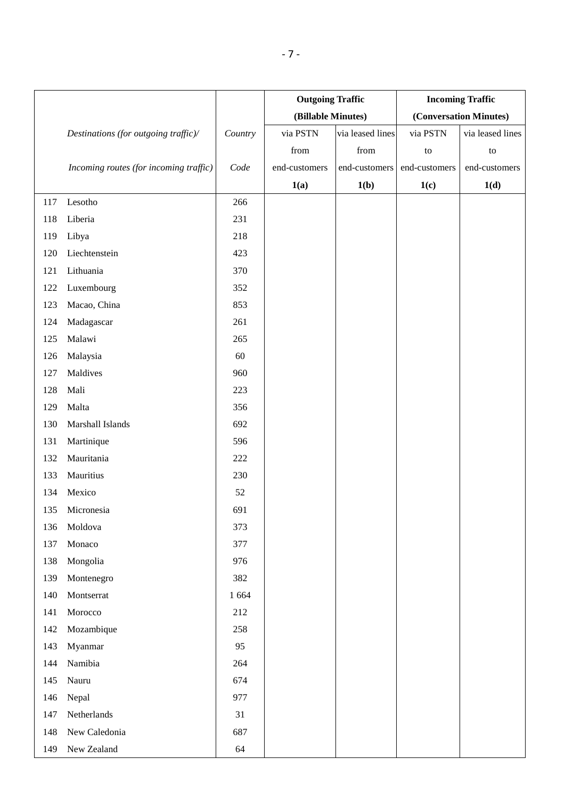|     |                                        |         | <b>Outgoing Traffic</b> |                  | <b>Incoming Traffic</b> |                        |
|-----|----------------------------------------|---------|-------------------------|------------------|-------------------------|------------------------|
|     |                                        |         | (Billable Minutes)      |                  |                         | (Conversation Minutes) |
|     | Destinations (for outgoing traffic)/   | Country | via PSTN                | via leased lines | via PSTN                | via leased lines       |
|     |                                        |         | from                    | from             | to                      | to                     |
|     | Incoming routes (for incoming traffic) | Code    | end-customers           | end-customers    | end-customers           | end-customers          |
|     |                                        |         | 1(a)                    | 1(b)             | 1(c)                    | 1(d)                   |
| 117 | Lesotho                                | 266     |                         |                  |                         |                        |
| 118 | Liberia                                | 231     |                         |                  |                         |                        |
| 119 | Libya                                  | 218     |                         |                  |                         |                        |
| 120 | Liechtenstein                          | 423     |                         |                  |                         |                        |
| 121 | Lithuania                              | 370     |                         |                  |                         |                        |
| 122 | Luxembourg                             | 352     |                         |                  |                         |                        |
| 123 | Macao, China                           | 853     |                         |                  |                         |                        |
| 124 | Madagascar                             | 261     |                         |                  |                         |                        |
| 125 | Malawi                                 | 265     |                         |                  |                         |                        |
| 126 | Malaysia                               | 60      |                         |                  |                         |                        |
| 127 | Maldives                               | 960     |                         |                  |                         |                        |
| 128 | Mali                                   | 223     |                         |                  |                         |                        |
| 129 | Malta                                  | 356     |                         |                  |                         |                        |
| 130 | Marshall Islands                       | 692     |                         |                  |                         |                        |
| 131 | Martinique                             | 596     |                         |                  |                         |                        |
| 132 | Mauritania                             | 222     |                         |                  |                         |                        |
| 133 | Mauritius                              | 230     |                         |                  |                         |                        |
| 134 | Mexico                                 | 52      |                         |                  |                         |                        |
| 135 | Micronesia                             | 691     |                         |                  |                         |                        |
| 136 | Moldova                                | 373     |                         |                  |                         |                        |
| 137 | Monaco                                 | 377     |                         |                  |                         |                        |
| 138 | Mongolia                               | 976     |                         |                  |                         |                        |
| 139 | Montenegro                             | 382     |                         |                  |                         |                        |
| 140 | Montserrat                             | 1 6 6 4 |                         |                  |                         |                        |
| 141 | Morocco                                | 212     |                         |                  |                         |                        |
| 142 | Mozambique                             | 258     |                         |                  |                         |                        |
| 143 | Myanmar                                | 95      |                         |                  |                         |                        |
| 144 | Namibia                                | 264     |                         |                  |                         |                        |
| 145 | Nauru                                  | 674     |                         |                  |                         |                        |
| 146 | Nepal                                  | 977     |                         |                  |                         |                        |
| 147 | Netherlands                            | 31      |                         |                  |                         |                        |
| 148 | New Caledonia                          | 687     |                         |                  |                         |                        |
| 149 | New Zealand                            | 64      |                         |                  |                         |                        |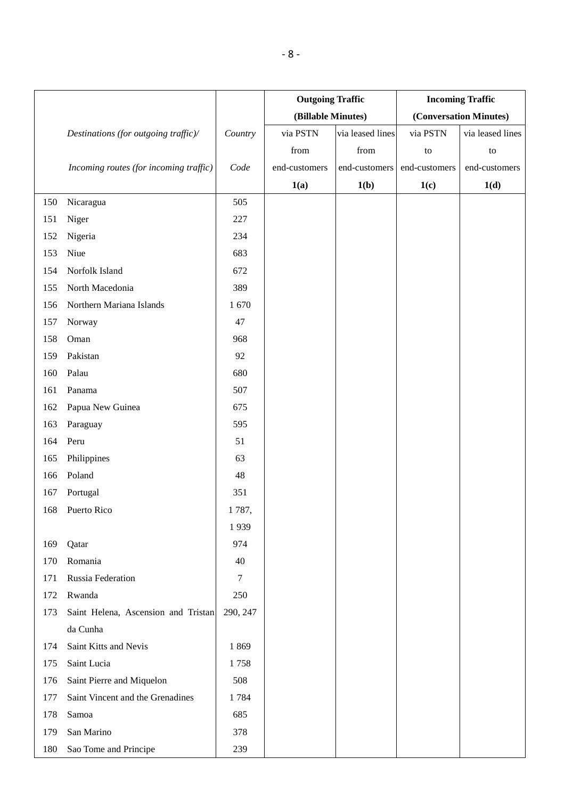|     |                                        |                  | <b>Outgoing Traffic</b> |                  | <b>Incoming Traffic</b> |                        |  |
|-----|----------------------------------------|------------------|-------------------------|------------------|-------------------------|------------------------|--|
|     |                                        |                  | (Billable Minutes)      |                  |                         | (Conversation Minutes) |  |
|     | Destinations (for outgoing traffic)/   | Country          | via PSTN                | via leased lines | via PSTN                | via leased lines       |  |
|     |                                        |                  | from                    | from             | to                      | to                     |  |
|     | Incoming routes (for incoming traffic) | Code             | end-customers           | end-customers    | end-customers           | end-customers          |  |
|     |                                        |                  | 1(a)                    | 1(b)             | 1(c)                    | 1(d)                   |  |
| 150 | Nicaragua                              | 505              |                         |                  |                         |                        |  |
| 151 | Niger                                  | 227              |                         |                  |                         |                        |  |
| 152 | Nigeria                                | 234              |                         |                  |                         |                        |  |
| 153 | Niue                                   | 683              |                         |                  |                         |                        |  |
| 154 | Norfolk Island                         | 672              |                         |                  |                         |                        |  |
| 155 | North Macedonia                        | 389              |                         |                  |                         |                        |  |
| 156 | Northern Mariana Islands               | 1670             |                         |                  |                         |                        |  |
| 157 | Norway                                 | 47               |                         |                  |                         |                        |  |
| 158 | Oman                                   | 968              |                         |                  |                         |                        |  |
| 159 | Pakistan                               | 92               |                         |                  |                         |                        |  |
| 160 | Palau                                  | 680              |                         |                  |                         |                        |  |
| 161 | Panama                                 | 507              |                         |                  |                         |                        |  |
| 162 | Papua New Guinea                       | 675              |                         |                  |                         |                        |  |
| 163 | Paraguay                               | 595              |                         |                  |                         |                        |  |
| 164 | Peru                                   | 51               |                         |                  |                         |                        |  |
| 165 | Philippines                            | 63               |                         |                  |                         |                        |  |
| 166 | Poland                                 | 48               |                         |                  |                         |                        |  |
| 167 | Portugal                               | 351              |                         |                  |                         |                        |  |
| 168 | Puerto Rico                            | 1787,            |                         |                  |                         |                        |  |
|     |                                        | 1939             |                         |                  |                         |                        |  |
| 169 | Qatar                                  | 974              |                         |                  |                         |                        |  |
| 170 | Romania                                | 40               |                         |                  |                         |                        |  |
| 171 | Russia Federation                      | $\boldsymbol{7}$ |                         |                  |                         |                        |  |
| 172 | Rwanda                                 | 250              |                         |                  |                         |                        |  |
| 173 | Saint Helena, Ascension and Tristan    | 290, 247         |                         |                  |                         |                        |  |
|     | da Cunha                               |                  |                         |                  |                         |                        |  |
| 174 | Saint Kitts and Nevis                  | 1869             |                         |                  |                         |                        |  |
| 175 | Saint Lucia                            | 1758             |                         |                  |                         |                        |  |
| 176 | Saint Pierre and Miquelon              | 508              |                         |                  |                         |                        |  |
| 177 | Saint Vincent and the Grenadines       | 1784             |                         |                  |                         |                        |  |
| 178 | Samoa                                  | 685              |                         |                  |                         |                        |  |
| 179 | San Marino                             | 378              |                         |                  |                         |                        |  |
| 180 | Sao Tome and Principe                  | 239              |                         |                  |                         |                        |  |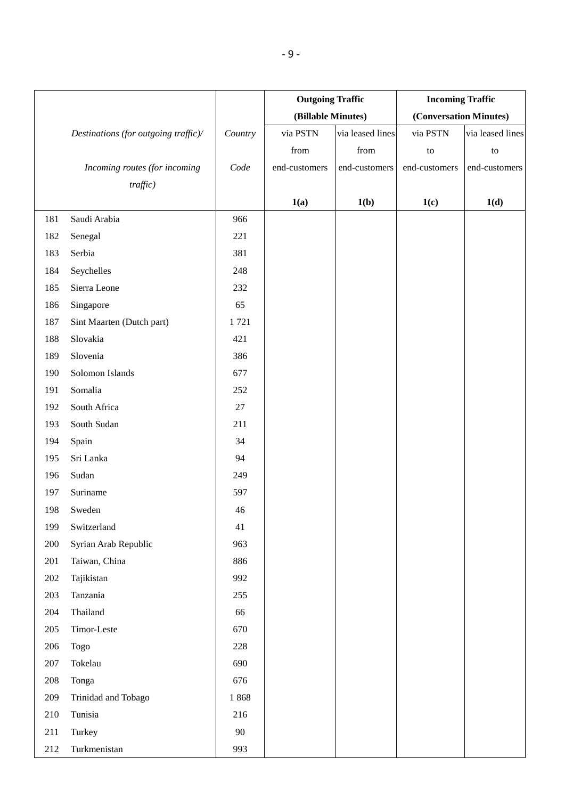|         |                                      |         | <b>Outgoing Traffic</b> |                  | <b>Incoming Traffic</b> |                        |  |
|---------|--------------------------------------|---------|-------------------------|------------------|-------------------------|------------------------|--|
|         |                                      |         | (Billable Minutes)      |                  |                         | (Conversation Minutes) |  |
|         | Destinations (for outgoing traffic)/ | Country | via PSTN                | via leased lines | via PSTN                | via leased lines       |  |
|         |                                      |         | from                    | from             | to                      | to                     |  |
|         | Incoming routes (for incoming        | Code    | end-customers           | end-customers    | end-customers           | end-customers          |  |
|         | $tra\hat{fic}$ )                     |         |                         |                  |                         |                        |  |
|         |                                      |         | 1(a)                    | 1(b)             | 1(c)                    | 1(d)                   |  |
| 181     | Saudi Arabia                         | 966     |                         |                  |                         |                        |  |
| 182     | Senegal                              | 221     |                         |                  |                         |                        |  |
| 183     | Serbia                               | 381     |                         |                  |                         |                        |  |
| 184     | Seychelles                           | 248     |                         |                  |                         |                        |  |
| 185     | Sierra Leone                         | 232     |                         |                  |                         |                        |  |
| 186     | Singapore                            | 65      |                         |                  |                         |                        |  |
| 187     | Sint Maarten (Dutch part)            | 1721    |                         |                  |                         |                        |  |
| 188     | Slovakia                             | 421     |                         |                  |                         |                        |  |
| 189     | Slovenia                             | 386     |                         |                  |                         |                        |  |
| 190     | Solomon Islands                      | 677     |                         |                  |                         |                        |  |
| 191     | Somalia                              | 252     |                         |                  |                         |                        |  |
| 192     | South Africa                         | 27      |                         |                  |                         |                        |  |
| 193     | South Sudan                          | 211     |                         |                  |                         |                        |  |
| 194     | Spain                                | 34      |                         |                  |                         |                        |  |
| 195     | Sri Lanka                            | 94      |                         |                  |                         |                        |  |
| 196     | Sudan                                | 249     |                         |                  |                         |                        |  |
| 197     | Suriname                             | 597     |                         |                  |                         |                        |  |
| 198     | Sweden                               | $46\,$  |                         |                  |                         |                        |  |
| 199     | Switzerland                          | 41      |                         |                  |                         |                        |  |
| 200     | Syrian Arab Republic                 | 963     |                         |                  |                         |                        |  |
| 201     | Taiwan, China                        | 886     |                         |                  |                         |                        |  |
| $202\,$ | Tajikistan                           | 992     |                         |                  |                         |                        |  |
| 203     | Tanzania                             | 255     |                         |                  |                         |                        |  |
| 204     | Thailand                             | 66      |                         |                  |                         |                        |  |
| 205     | Timor-Leste                          | 670     |                         |                  |                         |                        |  |
| 206     | <b>Togo</b>                          | 228     |                         |                  |                         |                        |  |
| 207     | Tokelau                              | 690     |                         |                  |                         |                        |  |
| 208     | Tonga                                | 676     |                         |                  |                         |                        |  |
| 209     | Trinidad and Tobago                  | 1868    |                         |                  |                         |                        |  |
| 210     | Tunisia                              | 216     |                         |                  |                         |                        |  |
| 211     | Turkey                               | 90      |                         |                  |                         |                        |  |
| 212     | Turkmenistan                         | 993     |                         |                  |                         |                        |  |